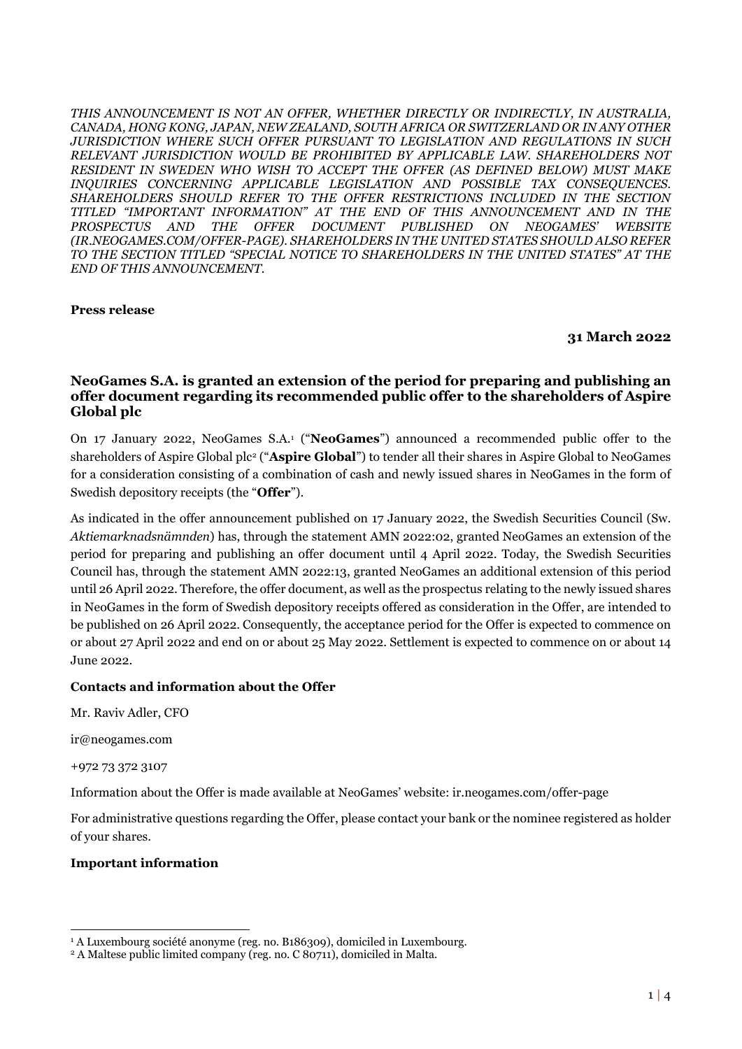*THIS ANNOUNCEMENT IS NOT AN OFFER, WHETHER DIRECTLY OR INDIRECTLY, IN AUSTRALIA, CANADA, HONG KONG, JAPAN, NEW ZEALAND, SOUTH AFRICA OR SWITZERLAND OR IN ANY OTHER JURISDICTION WHERE SUCH OFFER PURSUANT TO LEGISLATION AND REGULATIONS IN SUCH RELEVANT JURISDICTION WOULD BE PROHIBITED BY APPLICABLE LAW. SHAREHOLDERS NOT RESIDENT IN SWEDEN WHO WISH TO ACCEPT THE OFFER (AS DEFINED BELOW) MUST MAKE INQUIRIES CONCERNING APPLICABLE LEGISLATION AND POSSIBLE TAX CONSEQUENCES. SHAREHOLDERS SHOULD REFER TO THE OFFER RESTRICTIONS INCLUDED IN THE SECTION TITLED "IMPORTANT INFORMATION" AT THE END OF THIS ANNOUNCEMENT AND IN THE PROSPECTUS AND THE OFFER DOCUMENT PUBLISHED ON NEOGAMES' WEBSITE (IR.NEOGAMES.COM/OFFER-PAGE). SHAREHOLDERS IN THE UNITED STATES SHOULD ALSO REFER TO THE SECTION TITLED "SPECIAL NOTICE TO SHAREHOLDERS IN THE UNITED STATES" AT THE END OF THIS ANNOUNCEMENT.*

## **Press release**

### **31 March 2022**

## **NeoGames S.A. is granted an extension of the period for preparing and publishing an offer document regarding its recommended public offer to the shareholders of Aspire Global plc**

On 17 January 2022, NeoGames S.A.<sup>1</sup> ("**NeoGames**") announced a recommended public offer to the shareholders of Aspire Global plc<sup>2</sup> ("**Aspire Global**") to tender all their shares in Aspire Global to NeoGames for a consideration consisting of a combination of cash and newly issued shares in NeoGames in the form of Swedish depository receipts (the "**Offer**").

As indicated in the offer announcement published on 17 January 2022, the Swedish Securities Council (Sw. *Aktiemarknadsnämnden*) has, through the statement AMN 2022:02, granted NeoGames an extension of the period for preparing and publishing an offer document until 4 April 2022. Today, the Swedish Securities Council has, through the statement AMN 2022:13, granted NeoGames an additional extension of this period until 26 April 2022. Therefore, the offer document, as well as the prospectus relating to the newly issued shares in NeoGames in the form of Swedish depository receipts offered as consideration in the Offer, are intended to be published on 26 April 2022. Consequently, the acceptance period for the Offer is expected to commence on or about 27 April 2022 and end on or about 25 May 2022. Settlement is expected to commence on or about 14 June 2022.

## **Contacts and information about the Offer**

Mr. Raviv Adler, CFO

ir@neogames.com

#### +972 73 372 3107

Information about the Offer is made available at NeoGames' website: ir.neogames.com/offer-page

For administrative questions regarding the Offer, please contact your bank or the nominee registered as holder of your shares.

#### **Important information**

<sup>&</sup>lt;sup>1</sup> A Luxembourg société anonyme (reg. no. B186309), domiciled in Luxembourg.

<sup>2</sup> A Maltese public limited company (reg. no. C 80711), domiciled in Malta.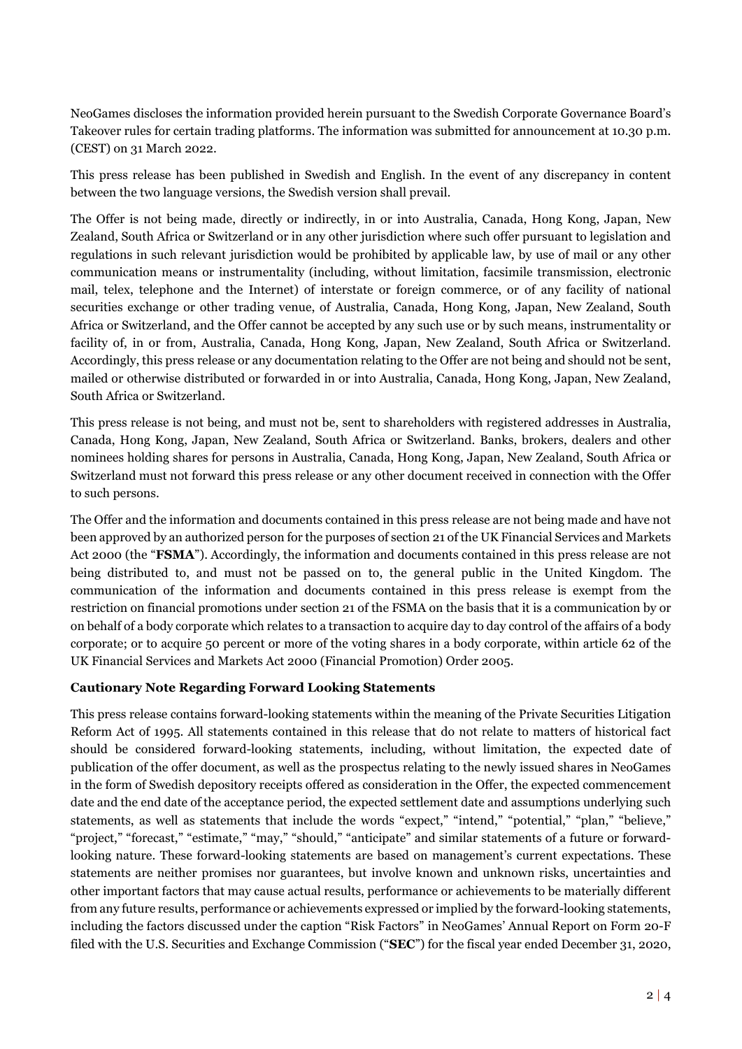NeoGames discloses the information provided herein pursuant to the Swedish Corporate Governance Board's Takeover rules for certain trading platforms. The information was submitted for announcement at 10.30 p.m. (CEST) on 31 March 2022.

This press release has been published in Swedish and English. In the event of any discrepancy in content between the two language versions, the Swedish version shall prevail.

The Offer is not being made, directly or indirectly, in or into Australia, Canada, Hong Kong, Japan, New Zealand, South Africa or Switzerland or in any other jurisdiction where such offer pursuant to legislation and regulations in such relevant jurisdiction would be prohibited by applicable law, by use of mail or any other communication means or instrumentality (including, without limitation, facsimile transmission, electronic mail, telex, telephone and the Internet) of interstate or foreign commerce, or of any facility of national securities exchange or other trading venue, of Australia, Canada, Hong Kong, Japan, New Zealand, South Africa or Switzerland, and the Offer cannot be accepted by any such use or by such means, instrumentality or facility of, in or from, Australia, Canada, Hong Kong, Japan, New Zealand, South Africa or Switzerland. Accordingly, this press release or any documentation relating to the Offer are not being and should not be sent, mailed or otherwise distributed or forwarded in or into Australia, Canada, Hong Kong, Japan, New Zealand, South Africa or Switzerland.

This press release is not being, and must not be, sent to shareholders with registered addresses in Australia, Canada, Hong Kong, Japan, New Zealand, South Africa or Switzerland. Banks, brokers, dealers and other nominees holding shares for persons in Australia, Canada, Hong Kong, Japan, New Zealand, South Africa or Switzerland must not forward this press release or any other document received in connection with the Offer to such persons.

The Offer and the information and documents contained in this press release are not being made and have not been approved by an authorized person for the purposes of section 21 of the UK Financial Services and Markets Act 2000 (the "**FSMA**"). Accordingly, the information and documents contained in this press release are not being distributed to, and must not be passed on to, the general public in the United Kingdom. The communication of the information and documents contained in this press release is exempt from the restriction on financial promotions under section 21 of the FSMA on the basis that it is a communication by or on behalf of a body corporate which relates to a transaction to acquire day to day control of the affairs of a body corporate; or to acquire 50 percent or more of the voting shares in a body corporate, within article 62 of the UK Financial Services and Markets Act 2000 (Financial Promotion) Order 2005.

# **Cautionary Note Regarding Forward Looking Statements**

This press release contains forward-looking statements within the meaning of the Private Securities Litigation Reform Act of 1995. All statements contained in this release that do not relate to matters of historical fact should be considered forward-looking statements, including, without limitation, the expected date of publication of the offer document, as well as the prospectus relating to the newly issued shares in NeoGames in the form of Swedish depository receipts offered as consideration in the Offer, the expected commencement date and the end date of the acceptance period, the expected settlement date and assumptions underlying such statements, as well as statements that include the words "expect," "intend," "potential," "plan," "believe," "project," "forecast," "estimate," "may," "should," "anticipate" and similar statements of a future or forwardlooking nature. These forward-looking statements are based on management's current expectations. These statements are neither promises nor guarantees, but involve known and unknown risks, uncertainties and other important factors that may cause actual results, performance or achievements to be materially different from any future results, performance or achievements expressed or implied by the forward-looking statements, including the factors discussed under the caption "Risk Factors" in NeoGames' Annual Report on Form 20-F filed with the U.S. Securities and Exchange Commission ("**SEC**") for the fiscal year ended December 31, 2020,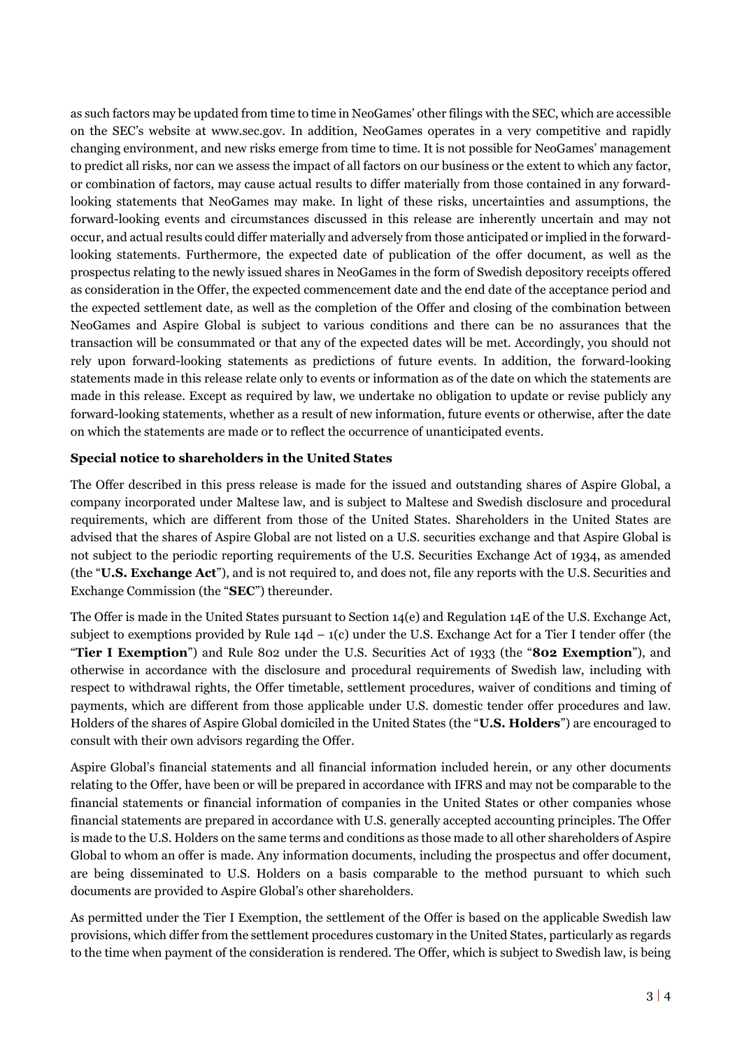as such factors may be updated from time to time in NeoGames' other filings with the SEC, which are accessible on the SEC's website at www.sec.gov. In addition, NeoGames operates in a very competitive and rapidly changing environment, and new risks emerge from time to time. It is not possible for NeoGames' management to predict all risks, nor can we assess the impact of all factors on our business or the extent to which any factor, or combination of factors, may cause actual results to differ materially from those contained in any forwardlooking statements that NeoGames may make. In light of these risks, uncertainties and assumptions, the forward-looking events and circumstances discussed in this release are inherently uncertain and may not occur, and actual results could differ materially and adversely from those anticipated or implied in the forwardlooking statements. Furthermore, the expected date of publication of the offer document, as well as the prospectus relating to the newly issued shares in NeoGames in the form of Swedish depository receipts offered as consideration in the Offer, the expected commencement date and the end date of the acceptance period and the expected settlement date, as well as the completion of the Offer and closing of the combination between NeoGames and Aspire Global is subject to various conditions and there can be no assurances that the transaction will be consummated or that any of the expected dates will be met. Accordingly, you should not rely upon forward-looking statements as predictions of future events. In addition, the forward-looking statements made in this release relate only to events or information as of the date on which the statements are made in this release. Except as required by law, we undertake no obligation to update or revise publicly any forward-looking statements, whether as a result of new information, future events or otherwise, after the date on which the statements are made or to reflect the occurrence of unanticipated events.

## **Special notice to shareholders in the United States**

The Offer described in this press release is made for the issued and outstanding shares of Aspire Global, a company incorporated under Maltese law, and is subject to Maltese and Swedish disclosure and procedural requirements, which are different from those of the United States. Shareholders in the United States are advised that the shares of Aspire Global are not listed on a U.S. securities exchange and that Aspire Global is not subject to the periodic reporting requirements of the U.S. Securities Exchange Act of 1934, as amended (the "**U.S. Exchange Act**"), and is not required to, and does not, file any reports with the U.S. Securities and Exchange Commission (the "**SEC**") thereunder.

The Offer is made in the United States pursuant to Section 14(e) and Regulation 14E of the U.S. Exchange Act, subject to exemptions provided by Rule  $14d - 1(c)$  under the U.S. Exchange Act for a Tier I tender offer (the "**Tier I Exemption**") and Rule 802 under the U.S. Securities Act of 1933 (the "**802 Exemption**"), and otherwise in accordance with the disclosure and procedural requirements of Swedish law, including with respect to withdrawal rights, the Offer timetable, settlement procedures, waiver of conditions and timing of payments, which are different from those applicable under U.S. domestic tender offer procedures and law. Holders of the shares of Aspire Global domiciled in the United States (the "**U.S. Holders**") are encouraged to consult with their own advisors regarding the Offer.

Aspire Global's financial statements and all financial information included herein, or any other documents relating to the Offer, have been or will be prepared in accordance with IFRS and may not be comparable to the financial statements or financial information of companies in the United States or other companies whose financial statements are prepared in accordance with U.S. generally accepted accounting principles. The Offer is made to the U.S. Holders on the same terms and conditions as those made to all other shareholders of Aspire Global to whom an offer is made. Any information documents, including the prospectus and offer document, are being disseminated to U.S. Holders on a basis comparable to the method pursuant to which such documents are provided to Aspire Global's other shareholders.

As permitted under the Tier I Exemption, the settlement of the Offer is based on the applicable Swedish law provisions, which differ from the settlement procedures customary in the United States, particularly as regards to the time when payment of the consideration is rendered. The Offer, which is subject to Swedish law, is being